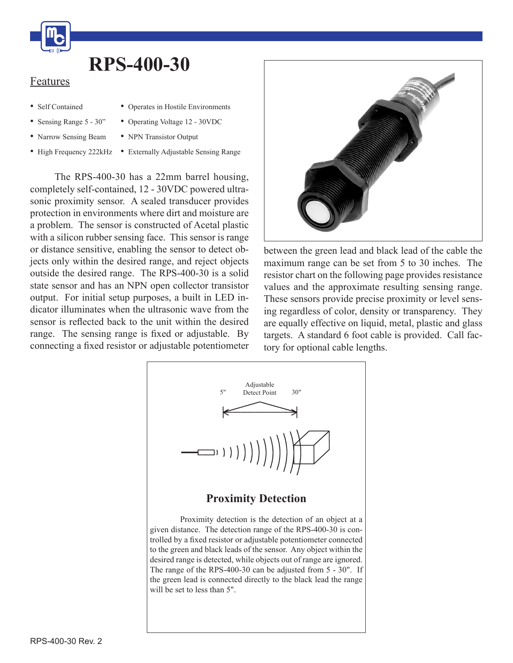

## **RPS-400-30**

## Features

- Self Contained
- • Operates in Hostile Environments
- Sensing Range 5 30"
- Narrow Sensing Beam
- 
- • Operating Voltage 12 30VDC
- NPN Transistor Output
- High Frequency 222kHz Externally Adjustable Sensing Range

 The RPS-400-30 has a 22mm barrel housing, completely self-contained, 12 - 30VDC powered ultrasonic proximity sensor. A sealed transducer provides protection in environments where dirt and moisture are a problem. The sensor is constructed of Acetal plastic with a silicon rubber sensing face. This sensor is range or distance sensitive, enabling the sensor to detect objects only within the desired range, and reject objects outside the desired range. The RPS-400-30 is a solid state sensor and has an NPN open collector transistor output. For initial setup purposes, a built in LED indicator illuminates when the ultrasonic wave from the sensor is reflected back to the unit within the desired range. The sensing range is fixed or adjustable. By connecting a fixed resistor or adjustable potentiometer



between the green lead and black lead of the cable the maximum range can be set from 5 to 30 inches. The resistor chart on the following page provides resistance values and the approximate resulting sensing range. These sensors provide precise proximity or level sensing regardless of color, density or transparency. They are equally effective on liquid, metal, plastic and glass targets. A standard 6 foot cable is provided. Call factory for optional cable lengths.